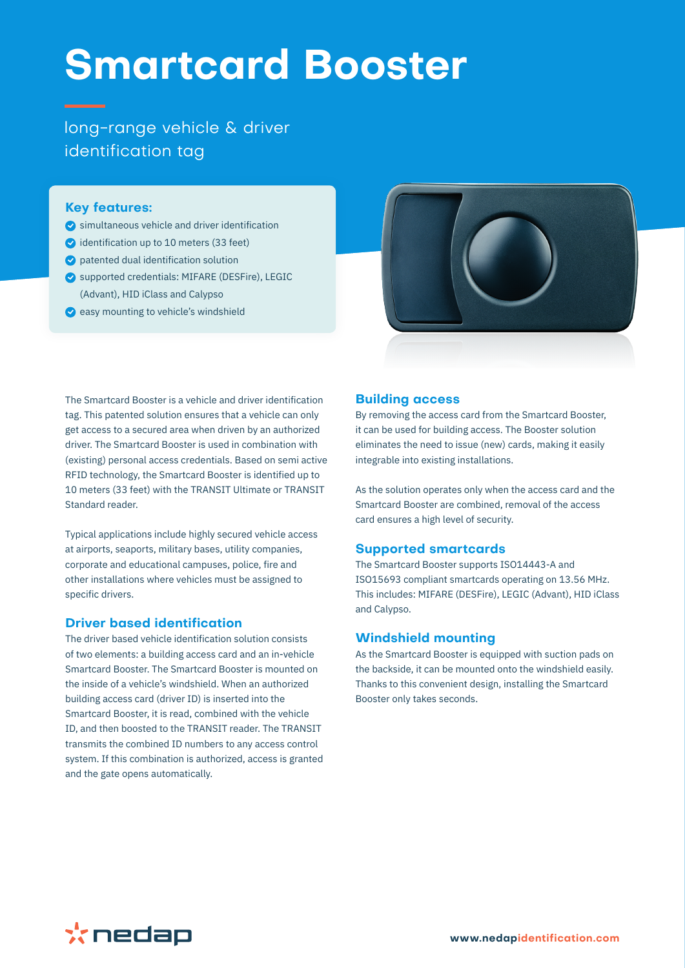# **Smartcard Booster**

long-range vehicle & driver identification tag

### **Key features:**

- $\bullet$  simultaneous vehicle and driver identification
- $\bullet$  identification up to 10 meters (33 feet)
- patented dual identification solution
- supported credentials: MIFARE (DESFire), LEGIC (Advant), HID iClass and Calypso
- $\bullet$  easy mounting to vehicle's windshield



The Smartcard Booster is a vehicle and driver identification tag. This patented solution ensures that a vehicle can only get access to a secured area when driven by an authorized driver. The Smartcard Booster is used in combination with (existing) personal access credentials. Based on semi active RFID technology, the Smartcard Booster is identified up to 10 meters (33 feet) with the TRANSIT Ultimate or TRANSIT Standard reader.

Typical applications include highly secured vehicle access at airports, seaports, military bases, utility companies, corporate and educational campuses, police, fire and other installations where vehicles must be assigned to specific drivers.

# **Driver based identification**

The driver based vehicle identification solution consists of two elements: a building access card and an in-vehicle Smartcard Booster. The Smartcard Booster is mounted on the inside of a vehicle's windshield. When an authorized building access card (driver ID) is inserted into the Smartcard Booster, it is read, combined with the vehicle ID, and then boosted to the TRANSIT reader. The TRANSIT transmits the combined ID numbers to any access control system. If this combination is authorized, access is granted and the gate opens automatically.

## **Building access**

By removing the access card from the Smartcard Booster, it can be used for building access. The Booster solution eliminates the need to issue (new) cards, making it easily integrable into existing installations.

As the solution operates only when the access card and the Smartcard Booster are combined, removal of the access card ensures a high level of security.

#### **Supported smartcards**

The Smartcard Booster supports ISO14443-A and ISO15693 compliant smartcards operating on 13.56 MHz. This includes: MIFARE (DESFire), LEGIC (Advant), HID iClass and Calypso.

# **Windshield mounting**

As the Smartcard Booster is equipped with suction pads on the backside, it can be mounted onto the windshield easily. Thanks to this convenient design, installing the Smartcard Booster only takes seconds.